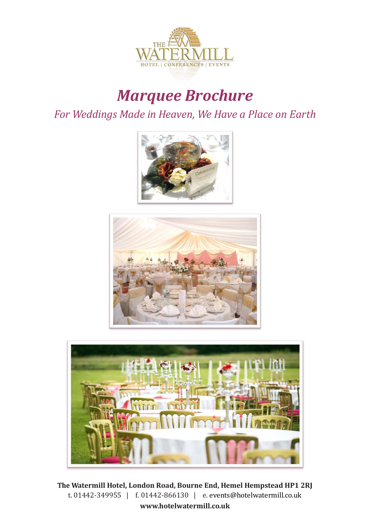

# *Marquee Brochure*

*For Weddings Made in Heaven, We Have a Place on Earth*







**Watermill Hotel, London Road, Bourne End, Hemel Hempstead HP1 2RJ** t. 01442-349955 | f. 01442-866130 | e. [events@hotelwatermill.co.uk](mailto:%20events@hotelwatermill.co.uk) **[www.hotelwatermill.co.uk](http://www.hotelwatermill.co.uk/)**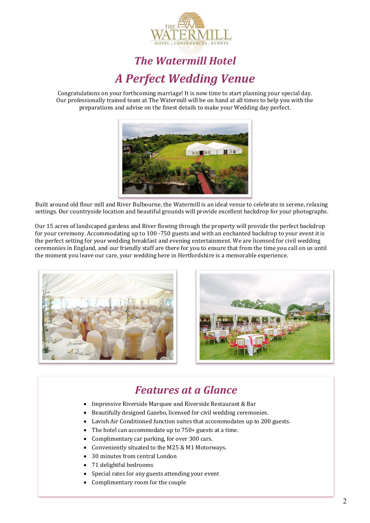

## *The Watermill Hotel A Perfect Wedding Venue*

Congratulations on your forthcoming marriage! It is now time to start planning your special day. Our professionally trained team at The Watermill will be on hand at all times to help you with the preparations and advise on the finest details to make your Wedding day perfect.



Built around old flour mill and River Bulbourne, the Watermill is an ideal venue to celebrate in serene, relaxing settings. Our countryside location and beautiful grounds will provide excellent backdrop for your photographs.

Our 15 acres of landscaped gardens and River flowing through the property will provide the perfect backdrop for your ceremony. Accommodating up to 100 -750 guests and with an enchanted backdrop to your event it is the perfect setting for your wedding breakfast and evening entertainment. We are licensed for civil wedding ceremonies in England, and our friendly staff are there for you to ensure that from the time you call on us until the moment you leave our care, your wedding here in Hertfordshire is a memorable experience.





### *Features at a Glance*

- Impressive Riverside Marquee and Riverside Restaurant & Bar
- Beautifully designed Gazebo, licensed for civil wedding ceremonies.
- Lavish Air Conditioned function suites that accommodates up to 200 guests.
- The hotel can accommodate up to 750+ guests at a time.
- Complimentary car parking, for over 300 cars.
- Conveniently situated to the M25 & M1 Motorways.
- 30 minutes from central London
- 71 delightful bedrooms
- Special rates for any guests attending your event
- Complimentary room for the couple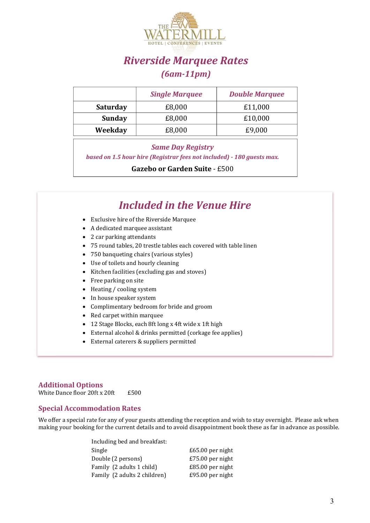

### *Riverside Marquee Rates (6am-11pm)*

|                 | <b>Single Marquee</b> | <b>Double Marquee</b> |
|-----------------|-----------------------|-----------------------|
| <b>Saturday</b> | £8,000                | £11,000               |
| <b>Sunday</b>   | £8,000                | £10,000               |
| Weekday         | £8,000                | £9,000                |

#### *Same Day Registry*

*based on 1.5 hour hire (Registrar fees not included) - 180 guests max.* 

**Gazebo or Garden Suite** - £500

|           | <b>Included in the Venue Hire</b>                                  |
|-----------|--------------------------------------------------------------------|
|           | • Exclusive hire of the Riverside Marquee                          |
|           | A dedicated marquee assistant                                      |
|           | 2 car parking attendants                                           |
|           | • 75 round tables, 20 trestle tables each covered with table linen |
|           | • 750 banqueting chairs (various styles)                           |
|           | Use of toilets and hourly cleaning                                 |
|           | Kitchen facilities (excluding gas and stoves)                      |
| $\bullet$ | Free parking on site                                               |
| ٠         | Heating / cooling system                                           |
|           | In house speaker system                                            |
|           | Complimentary bedroom for bride and groom                          |
|           | Red carpet within marquee                                          |
|           | 12 Stage Blocks, each 8ft long x 4ft wide x 1ft high               |
|           | External alcohol & drinks permitted (corkage fee applies)          |
|           | External caterers & suppliers permitted                            |

#### **Additional Options**

White Dance floor 20ft  $x$  20ft  $£500$ 

#### **Special Accommodation Rates**

We offer a special rate for any of your guests attending the reception and wish to stay overnight. Please ask when making your booking for the current details and to avoid disappointment book these as far in advance as possible.

| Including bed and breakfast: |                    |
|------------------------------|--------------------|
| Single                       | £65.00 per night   |
| Double (2 persons)           | £75.00 per night   |
| Family (2 adults 1 child)    | $£85.00$ per night |
| Family (2 adults 2 children) | £95.00 per night   |
|                              |                    |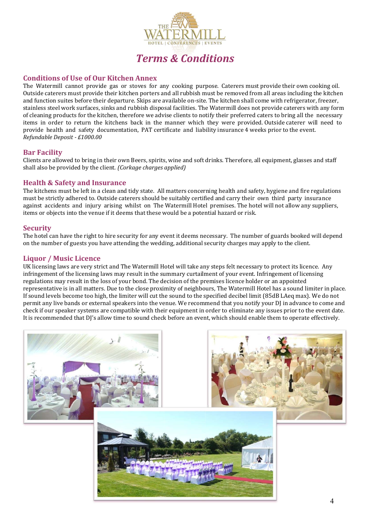

### *Terms & Conditions*

#### **Conditions of Use of Our Kitchen Annex**

The Watermill cannot provide gas or stoves for any cooking purpose. Caterers must provide their own cooking oil. Outside caterers must provide their kitchen porters and all rubbish must be removed from all areas including the kitchen and function suites before their departure. Skips are available on-site. The kitchen shall come with refrigerator, freezer, stainless steel work surfaces, sinks and rubbish disposal facilities. The Watermill does not provide caterers with any form of cleaning products for the kitchen, therefore we advise clients to notify their preferred caters to bring all the necessary items in order to return the kitchens back in the manner which they were provided. Outside caterer will need to provide health and safety documentation, PAT certificate and liability insurance 4 weeks prior to the event. *Refundable Deposit - £1000.00* 

#### **Bar Facility**

Clients are allowed to bring in their own Beers, spirits, wine and soft drinks. Therefore, all equipment, glasses and staff shall also be provided by the client. *(Corkage charges applied)*

#### **Health & Safety and Insurance**

The kitchens must be left in a clean and tidy state. All matters concerning health and safety, hygiene and fire regulations must be strictly adhered to. Outside caterers should be suitably certified and carry their own third party insurance against accidents and injury arising whilst on The Watermill Hotel premises. The hotel will not allow any suppliers, items or objects into the venue if it deems that these would be a potential hazard or risk.

#### **Security**

The hotel can have the right to hire security for any event it deems necessary. The number of guards booked will depend on the number of guests you have attending the wedding, additional security charges may apply to the client.

#### **Liquor / Music Licence**

UK licensing laws are very strict and The Watermill Hotel will take any steps felt necessary to protect its licence. Any infringement of the licensing laws may result in the summary curtailment of your event. Infringement of licensing regulations may result in the loss of your bond. The decision of the premises licence holder or an appointed representative is in all matters. Due to the close proximity of neighbours, The Watermill Hotel has a sound limiter in place. If sound levels become too high, the limiter will cut the sound to the specified decibel limit (85dB LAeq max). We do not permit any live bands or external speakers into the venue. We recommend that you notify your DJ in advance to come and check if our speaker systems are compatible with their equipment in order to eliminate any issues prior to the event date. It is recommended that DJ's allow time to sound check before an event, which should enable them to operate effectively.